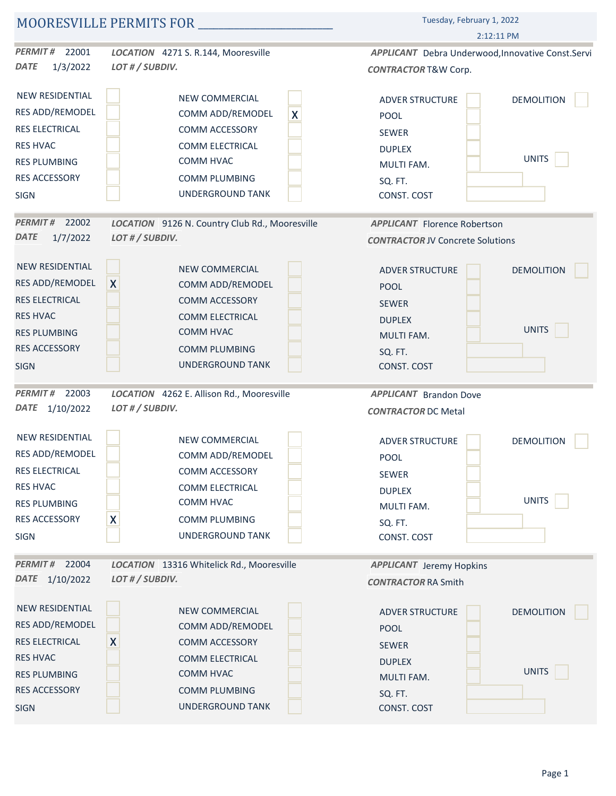|                         |                                                | Tuesday, February 1, 2022                          |  |
|-------------------------|------------------------------------------------|----------------------------------------------------|--|
|                         |                                                | $2:12:11$ PM                                       |  |
| <b>PERMIT#</b><br>22001 | LOCATION 4271 S. R.144, Mooresville            | APPLICANT Debra Underwood, Innovative Const. Servi |  |
| 1/3/2022<br><b>DATE</b> | LOT # / SUBDIV.                                | <b>CONTRACTOR T&amp;W Corp.</b>                    |  |
| NEW RESIDENTIAL         | NEW COMMERCIAL                                 | <b>DEMOLITION</b><br><b>ADVER STRUCTURE</b>        |  |
| RES ADD/REMODEL         | $\boldsymbol{\mathsf{X}}$<br>COMM ADD/REMODEL  | <b>POOL</b>                                        |  |
| <b>RES ELECTRICAL</b>   | COMM ACCESSORY                                 | SEWER                                              |  |
| <b>RES HVAC</b>         | COMM ELECTRICAL                                | <b>DUPLEX</b>                                      |  |
| <b>RES PLUMBING</b>     | COMM HVAC                                      | <b>UNITS</b><br>MULTI FAM.                         |  |
| <b>RES ACCESSORY</b>    | COMM PLUMBING                                  | SQ. FT.                                            |  |
| <b>SIGN</b>             | UNDERGROUND TANK                               | CONST. COST                                        |  |
| <b>PERMIT#</b><br>22002 | LOCATION 9126 N. Country Club Rd., Mooresville | <b>APPLICANT</b> Florence Robertson                |  |
| <b>DATE</b><br>1/7/2022 | LOT # / SUBDIV.                                | <b>CONTRACTOR JV Concrete Solutions</b>            |  |
| NEW RESIDENTIAL         | NEW COMMERCIAL                                 | DEMOLITION<br><b>ADVER STRUCTURE</b>               |  |
| RES ADD/REMODEL         | $\mathsf{X}$<br>COMM ADD/REMODEL               | POOL                                               |  |
| RES ELECTRICAL          | <b>COMM ACCESSORY</b>                          | SEWER                                              |  |
| <b>RES HVAC</b>         | COMM ELECTRICAL                                | <b>DUPLEX</b>                                      |  |
| <b>RES PLUMBING</b>     | COMM HVAC                                      | UNITS<br>MULTI FAM.                                |  |
| <b>RES ACCESSORY</b>    | <b>COMM PLUMBING</b>                           | SQ. FT.                                            |  |
| <b>SIGN</b>             | UNDERGROUND TANK                               | CONST. COST                                        |  |
| <b>PERMIT#</b><br>22003 | LOCATION 4262 E. Allison Rd., Mooresville      | <b>APPLICANT</b> Brandon Dove                      |  |
| DATE 1/10/2022          | LOT # / SUBDIV.                                | <b>CONTRACTOR DC Metal</b>                         |  |
| NEW RESIDENTIAL         | NEW COMMERCIAL                                 | <b>DEMOLITION</b><br>ADVER STRUCTURE               |  |
| RES ADD/REMODEL         | COMM ADD/REMODEL                               | POOL                                               |  |
| RES ELECTRICAL          | COMM ACCESSORY                                 | SEWER                                              |  |
| <b>RES HVAC</b>         | COMM ELECTRICAL                                | <b>DUPLEX</b>                                      |  |
| <b>RES PLUMBING</b>     | COMM HVAC                                      | <b>UNITS</b><br>MULTI FAM.                         |  |
| <b>RES ACCESSORY</b>    | X<br>COMM PLUMBING                             | SQ. FT.                                            |  |
| <b>SIGN</b>             | UNDERGROUND TANK                               | CONST. COST                                        |  |
| PERMIT# 22004           | LOCATION 13316 Whitelick Rd., Mooresville      | <b>APPLICANT</b> Jeremy Hopkins                    |  |
| DATE 1/10/2022          | LOT # / SUBDIV.                                | <b>CONTRACTOR RA Smith</b>                         |  |
| NEW RESIDENTIAL         | NEW COMMERCIAL                                 | <b>DEMOLITION</b><br><b>ADVER STRUCTURE</b>        |  |
| RES ADD/REMODEL         | COMM ADD/REMODEL                               | <b>POOL</b>                                        |  |
| <b>RES ELECTRICAL</b>   | X<br><b>COMM ACCESSORY</b>                     | SEWER                                              |  |
| <b>RES HVAC</b>         | COMM ELECTRICAL                                | <b>DUPLEX</b>                                      |  |
| <b>RES PLUMBING</b>     | COMM HVAC                                      | UNITS<br>MULTI FAM.                                |  |
| <b>RES ACCESSORY</b>    | <b>COMM PLUMBING</b>                           | SQ. FT.                                            |  |
| <b>SIGN</b>             | <b>UNDERGROUND TANK</b>                        | CONST. COST                                        |  |
|                         |                                                |                                                    |  |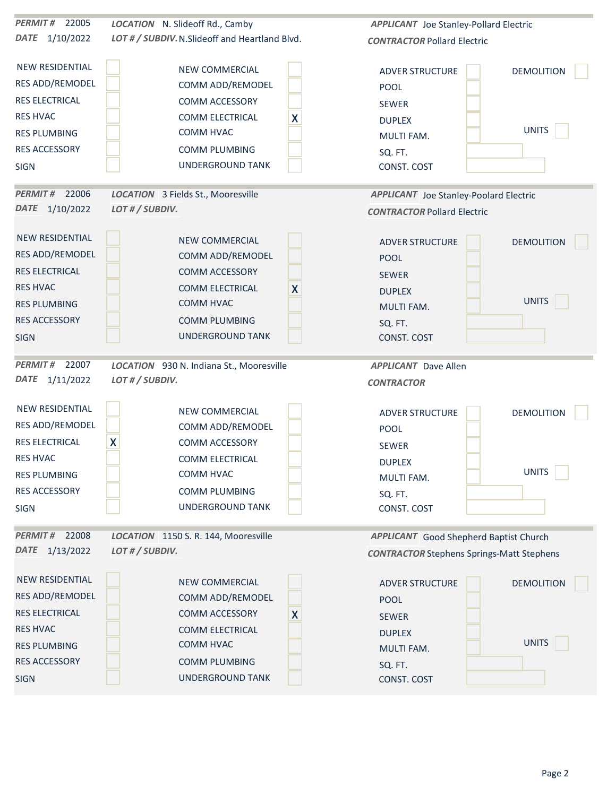| <b>PERMIT# 22005</b>    | LOCATION N. Slideoff Rd., Camby                 | <b>APPLICANT</b> Joe Stanley-Pollard Electric    |                   |
|-------------------------|-------------------------------------------------|--------------------------------------------------|-------------------|
| DATE 1/10/2022          | LOT # / SUBDIV. N. Slideoff and Heartland Blvd. | <b>CONTRACTOR Pollard Electric</b>               |                   |
| <b>NEW RESIDENTIAL</b>  | NEW COMMERCIAL                                  | <b>ADVER STRUCTURE</b>                           | <b>DEMOLITION</b> |
| RES ADD/REMODEL         | COMM ADD/REMODEL                                | POOL                                             |                   |
| <b>RES ELECTRICAL</b>   | COMM ACCESSORY                                  | SEWER                                            |                   |
| <b>RES HVAC</b>         | X<br>COMM ELECTRICAL                            |                                                  |                   |
| <b>RES PLUMBING</b>     | COMM HVAC                                       | <b>DUPLEX</b><br>MULTI FAM.                      | <b>UNITS</b>      |
| RES ACCESSORY           | <b>COMM PLUMBING</b>                            | SQ. FT.                                          |                   |
| SIGN                    | UNDERGROUND TANK                                | CONST. COST                                      |                   |
| PERMIT# 22006           | <b>LOCATION</b> 3 Fields St., Mooresville       | <b>APPLICANT</b> Joe Stanley-Poolard Electric    |                   |
| DATE 1/10/2022          | LOT # / SUBDIV.                                 | <b>CONTRACTOR Pollard Electric</b>               |                   |
| NEW RESIDENTIAL         | NEW COMMERCIAL                                  | <b>ADVER STRUCTURE</b>                           | <b>DEMOLITION</b> |
| <b>RES ADD/REMODEL</b>  | COMM ADD/REMODEL                                | POOL                                             |                   |
| <b>RES ELECTRICAL</b>   | COMM ACCESSORY                                  | SEWER                                            |                   |
| <b>RES HVAC</b>         | COMM ELECTRICAL<br>X                            | <b>DUPLEX</b>                                    |                   |
| <b>RES PLUMBING</b>     | COMM HVAC                                       | <b>MULTI FAM.</b>                                | <b>UNITS</b>      |
| <b>RES ACCESSORY</b>    | <b>COMM PLUMBING</b>                            | SQ. FT.                                          |                   |
| <b>SIGN</b>             | UNDERGROUND TANK                                | CONST. COST                                      |                   |
| 22007<br><b>PERMIT#</b> | LOCATION 930 N. Indiana St., Mooresville        | <b>APPLICANT</b> Dave Allen                      |                   |
| DATE 1/11/2022          | LOT # / SUBDIV.                                 | <b>CONTRACTOR</b>                                |                   |
| <b>NEW RESIDENTIAL</b>  | <b>NEW COMMERCIAL</b>                           | <b>ADVER STRUCTURE</b>                           | <b>DEMOLITION</b> |
| RES ADD/REMODEL         | COMM ADD/REMODEL                                | POOL                                             |                   |
| RES ELECTRICAL          | X<br>COMM ACCESSORY                             | SEWER                                            |                   |
| <b>RES HVAC</b>         | COMM ELECTRICAL                                 | <b>DUPLEX</b>                                    |                   |
| <b>RES PLUMBING</b>     | COMM HVAC                                       | MULTI FAM.                                       | <b>UNITS</b>      |
| RES ACCESSORY           | COMM PLUMBING                                   | SQ. FT.                                          |                   |
| SIGN                    | UNDERGROUND TANK                                | CONST. COST                                      |                   |
| PERMIT# 22008           | LOCATION 1150 S. R. 144, Mooresville            | <b>APPLICANT</b> Good Shepherd Baptist Church    |                   |
| DATE 1/13/2022          | LOT # / SUBDIV.                                 | <b>CONTRACTOR Stephens Springs-Matt Stephens</b> |                   |
| <b>NEW RESIDENTIAL</b>  | <b>NEW COMMERCIAL</b>                           | <b>ADVER STRUCTURE</b>                           | <b>DEMOLITION</b> |
| <b>RES ADD/REMODEL</b>  | COMM ADD/REMODEL                                | POOL                                             |                   |
| <b>RES ELECTRICAL</b>   | <b>COMM ACCESSORY</b><br>X                      | SEWER                                            |                   |
| <b>RES HVAC</b>         | COMM ELECTRICAL                                 | <b>DUPLEX</b>                                    |                   |
| <b>RES PLUMBING</b>     | COMM HVAC                                       | <b>MULTI FAM.</b>                                | <b>UNITS</b>      |
| RES ACCESSORY           | <b>COMM PLUMBING</b>                            | SQ. FT.                                          |                   |
| <b>SIGN</b>             | UNDERGROUND TANK                                | CONST. COST                                      |                   |
|                         |                                                 |                                                  |                   |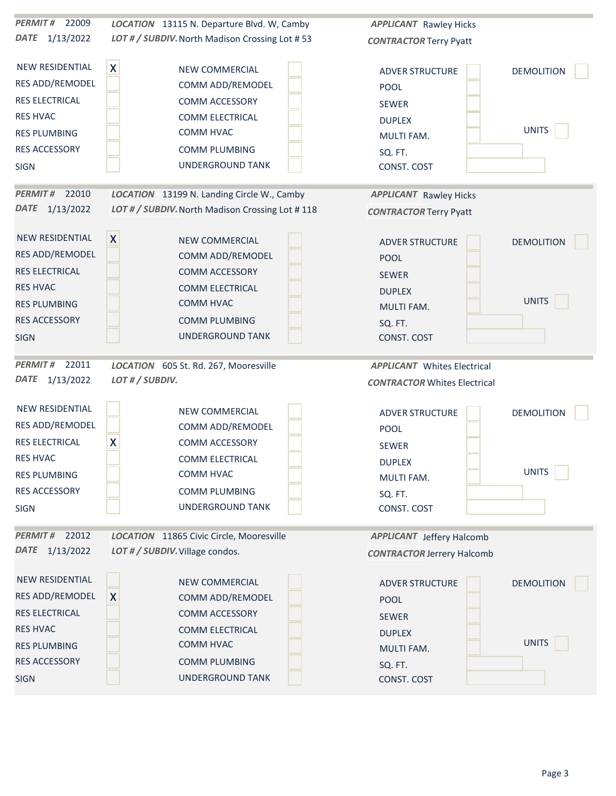| 22009<br><b>PERMIT#</b>         | LOCATION 13115 N. Departure Blvd. W, Camby         | <b>APPLICANT</b> Rawley Hicks       |                   |
|---------------------------------|----------------------------------------------------|-------------------------------------|-------------------|
| DATE 1/13/2022                  | LOT # / SUBDIV. North Madison Crossing Lot #53     | <b>CONTRACTOR Terry Pyatt</b>       |                   |
|                                 |                                                    |                                     |                   |
| NEW RESIDENTIAL                 | $\boldsymbol{\mathsf{X}}$<br><b>NEW COMMERCIAL</b> | <b>ADVER STRUCTURE</b>              | <b>DEMOLITION</b> |
| RES ADD/REMODEL                 | COMM ADD/REMODEL                                   | POOL                                |                   |
| RES ELECTRICAL                  | COMM ACCESSORY                                     | SEWER                               |                   |
| <b>RES HVAC</b>                 | COMM ELECTRICAL                                    | <b>DUPLEX</b>                       |                   |
| <b>RES PLUMBING</b>             | COMM HVAC                                          | MULTI FAM.                          | <b>UNITS</b>      |
| RES ACCESSORY                   | <b>COMM PLUMBING</b>                               | SQ. FT.                             |                   |
| <b>SIGN</b>                     | <b>UNDERGROUND TANK</b>                            | CONST. COST                         |                   |
| PERMIT# 22010                   | LOCATION 13199 N. Landing Circle W., Camby         | <b>APPLICANT</b> Rawley Hicks       |                   |
| DATE 1/13/2022                  | LOT # / SUBDIV. North Madison Crossing Lot #118    | <b>CONTRACTOR Terry Pyatt</b>       |                   |
|                                 |                                                    |                                     |                   |
| NEW RESIDENTIAL                 | $\boldsymbol{X}$<br><b>NEW COMMERCIAL</b>          | ADVER STRUCTURE                     | <b>DEMOLITION</b> |
| RES ADD/REMODEL                 | COMM ADD/REMODEL                                   | POOL                                |                   |
| <b>RES ELECTRICAL</b>           | <b>COMM ACCESSORY</b>                              | SEWER                               |                   |
| <b>RES HVAC</b>                 | <b>COMM ELECTRICAL</b>                             | <b>DUPLEX</b>                       |                   |
| <b>RES PLUMBING</b>             | COMM HVAC                                          | <b>MULTI FAM.</b>                   | <b>UNITS</b>      |
| <b>RES ACCESSORY</b>            | <b>COMM PLUMBING</b>                               | SQ. FT.                             |                   |
| <b>SIGN</b>                     | UNDERGROUND TANK                                   | CONST. COST                         |                   |
| 22011<br><b>PERMIT#</b>         | LOCATION 605 St. Rd. 267, Mooresville              | <b>APPLICANT</b> Whites Electrical  |                   |
| DATE 1/13/2022                  | LOT # / SUBDIV.                                    | <b>CONTRACTOR Whites Electrical</b> |                   |
|                                 |                                                    |                                     |                   |
| <b>NEW RESIDENTIAL</b>          | NEW COMMERCIAL                                     | <b>ADVER STRUCTURE</b>              | <b>DEMOLITION</b> |
| RES ADD/REMODEL                 | COMM ADD/REMODEL                                   | POOL                                |                   |
| RES ELECTRICAL                  | X<br>COMM ACCESSORY                                | SEWER                               |                   |
| <b>RES HVAC</b>                 | <b>COMM ELECTRICAL</b>                             | <b>DUPLEX</b>                       |                   |
| <b>RES PLUMBING</b>             | COMM HVAC                                          | MULTI FAM.                          | <b>UNITS</b>      |
| RES ACCESSORY                   | COMM PLUMBING                                      | SQ. FT.                             |                   |
| SIGN                            | UNDERGROUND TANK                                   | CONST. COST                         |                   |
|                                 |                                                    |                                     |                   |
| PERMIT# 22012<br>DATE 1/13/2022 | LOCATION 11865 Civic Circle, Mooresville           | <b>APPLICANT</b> Jeffery Halcomb    |                   |
|                                 | LOT # / SUBDIV. Village condos.                    | <b>CONTRACTOR Jerrery Halcomb</b>   |                   |
| NEW RESIDENTIAL                 | <b>NEW COMMERCIAL</b>                              | <b>ADVER STRUCTURE</b>              | <b>DEMOLITION</b> |
| RES ADD/REMODEL                 | X<br>COMM ADD/REMODEL                              | <b>POOL</b>                         |                   |
| <b>RES ELECTRICAL</b>           | <b>COMM ACCESSORY</b>                              | SEWER                               |                   |
| <b>RES HVAC</b>                 | COMM ELECTRICAL                                    | <b>DUPLEX</b>                       |                   |
| <b>RES PLUMBING</b>             | COMM HVAC                                          | MULTI FAM.                          | <b>UNITS</b>      |
| RES ACCESSORY                   | <b>COMM PLUMBING</b>                               | SQ. FT.                             |                   |
| <b>SIGN</b>                     | UNDERGROUND TANK                                   | CONST. COST                         |                   |
|                                 |                                                    |                                     |                   |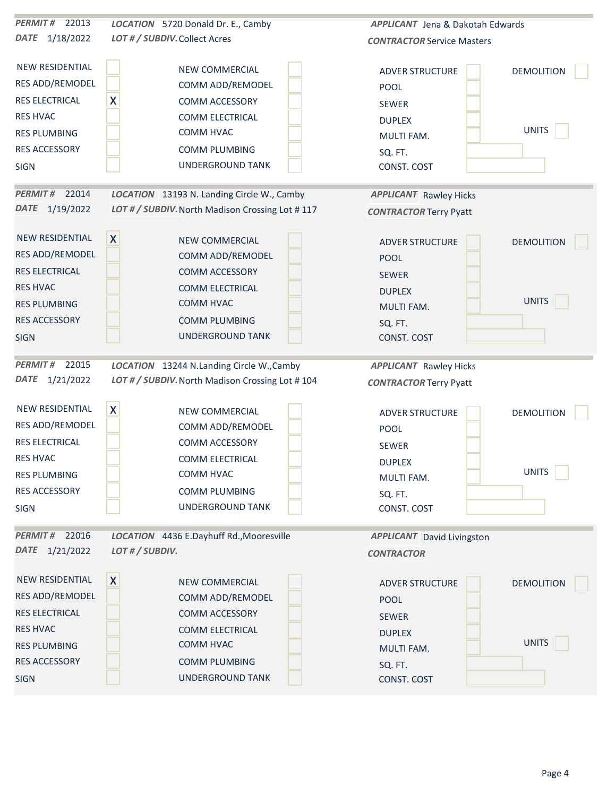| PERMIT# 22013           | LOCATION 5720 Donald Dr. E., Camby              | APPLICANT Jena & Dakotah Edwards  |                   |
|-------------------------|-------------------------------------------------|-----------------------------------|-------------------|
| DATE 1/18/2022          | LOT # / SUBDIV. Collect Acres                   | <b>CONTRACTOR Service Masters</b> |                   |
| <b>NEW RESIDENTIAL</b>  | NEW COMMERCIAL                                  | <b>ADVER STRUCTURE</b>            | <b>DEMOLITION</b> |
| RES ADD/REMODEL         | COMM ADD/REMODEL                                | POOL                              |                   |
| RES ELECTRICAL          | X<br>COMM ACCESSORY                             | SEWER                             |                   |
| <b>RES HVAC</b>         | COMM ELECTRICAL                                 | <b>DUPLEX</b>                     |                   |
| <b>RES PLUMBING</b>     | COMM HVAC                                       | MULTI FAM.                        | <b>UNITS</b>      |
| RES ACCESSORY           | COMM PLUMBING                                   | SQ. FT.                           |                   |
| SIGN                    | UNDERGROUND TANK                                | CONST. COST                       |                   |
| PERMIT# 22014           | LOCATION 13193 N. Landing Circle W., Camby      | <b>APPLICANT</b> Rawley Hicks     |                   |
| DATE 1/19/2022          | LOT # / SUBDIV. North Madison Crossing Lot #117 | <b>CONTRACTOR Terry Pyatt</b>     |                   |
| NEW RESIDENTIAL         | $\boldsymbol{X}$<br>NEW COMMERCIAL              | <b>ADVER STRUCTURE</b>            | <b>DEMOLITION</b> |
| RES ADD/REMODEL         | COMM ADD/REMODEL                                | POOL                              |                   |
| <b>RES ELECTRICAL</b>   | <b>COMM ACCESSORY</b>                           | <b>SEWER</b>                      |                   |
| <b>RES HVAC</b>         | <b>COMM ELECTRICAL</b>                          | <b>DUPLEX</b>                     |                   |
| <b>RES PLUMBING</b>     | COMM HVAC                                       | <b>MULTI FAM.</b>                 | <b>UNITS</b>      |
| <b>RES ACCESSORY</b>    | <b>COMM PLUMBING</b>                            | SQ. FT.                           |                   |
| <b>SIGN</b>             | <b>UNDERGROUND TANK</b>                         | CONST. COST                       |                   |
| <b>PERMIT#</b><br>22015 | LOCATION 13244 N.Landing Circle W., Camby       | <b>APPLICANT</b> Rawley Hicks     |                   |
| DATE 1/21/2022          | LOT # / SUBDIV. North Madison Crossing Lot #104 | <b>CONTRACTOR Terry Pyatt</b>     |                   |
| NEW RESIDENTIAL         | $\mathsf{X}$<br>NEW COMMERCIAL                  | ADVER STRUCTURE                   | <b>DEMOLITION</b> |
| RES ADD/REMODEL         | COMM ADD/REMODEL                                | POOL                              |                   |
| <b>RES ELECTRICAL</b>   | COMM ACCESSORY                                  | SEWER                             |                   |
| <b>RES HVAC</b>         | COMM ELECTRICAL                                 | <b>DUPLEX</b>                     |                   |
| <b>RES PLUMBING</b>     | COMM HVAC                                       | MULTI FAM.                        | <b>UNITS</b>      |
| RES ACCESSORY           | <b>COMM PLUMBING</b>                            | SQ. FT.                           |                   |
| SIGN                    | UNDERGROUND TANK                                | CONST. COST                       |                   |
| PERMIT# 22016           | LOCATION 4436 E.Dayhuff Rd., Mooresville        | <b>APPLICANT</b> David Livingston |                   |
| DATE 1/21/2022          | LOT # / SUBDIV.                                 | <b>CONTRACTOR</b>                 |                   |
| NEW RESIDENTIAL         | $\boldsymbol{X}$<br>NEW COMMERCIAL              | <b>ADVER STRUCTURE</b>            | <b>DEMOLITION</b> |
| <b>RES ADD/REMODEL</b>  | COMM ADD/REMODEL                                | <b>POOL</b>                       |                   |
| <b>RES ELECTRICAL</b>   | COMM ACCESSORY                                  | SEWER                             |                   |
| <b>RES HVAC</b>         | COMM ELECTRICAL                                 | <b>DUPLEX</b>                     |                   |
| <b>RES PLUMBING</b>     | COMM HVAC                                       | <b>MULTI FAM.</b>                 | <b>UNITS</b>      |
| RES ACCESSORY           | <b>COMM PLUMBING</b>                            | SQ. FT.                           |                   |
| <b>SIGN</b>             | UNDERGROUND TANK                                | CONST. COST                       |                   |
|                         |                                                 |                                   |                   |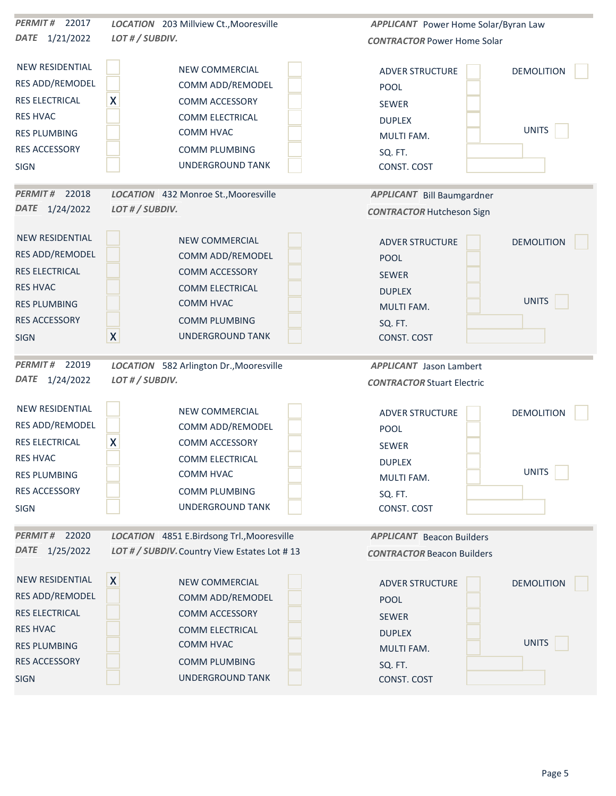| PERMIT# 22017           | LOCATION 203 Millview Ct., Mooresville       | <b>APPLICANT</b> Power Home Solar/Byran Law |
|-------------------------|----------------------------------------------|---------------------------------------------|
| DATE 1/21/2022          | LOT # / SUBDIV.                              | <b>CONTRACTOR Power Home Solar</b>          |
| <b>NEW RESIDENTIAL</b>  | NEW COMMERCIAL                               | <b>ADVER STRUCTURE</b><br><b>DEMOLITION</b> |
| RES ADD/REMODEL         | COMM ADD/REMODEL                             | POOL                                        |
| RES ELECTRICAL          | X<br>COMM ACCESSORY                          | <b>SEWER</b>                                |
| <b>RES HVAC</b>         | <b>COMM ELECTRICAL</b>                       | <b>DUPLEX</b>                               |
| <b>RES PLUMBING</b>     | COMM HVAC                                    | <b>UNITS</b><br>MULTI FAM.                  |
| <b>RES ACCESSORY</b>    | <b>COMM PLUMBING</b>                         | SQ. FT.                                     |
| <b>SIGN</b>             | UNDERGROUND TANK                             | CONST. COST                                 |
| PERMIT# 22018           | LOCATION 432 Monroe St., Mooresville         | <b>APPLICANT</b> Bill Baumgardner           |
| DATE 1/24/2022          | LOT # / SUBDIV.                              | <b>CONTRACTOR Hutcheson Sign</b>            |
| <b>NEW RESIDENTIAL</b>  | NEW COMMERCIAL                               | <b>DEMOLITION</b><br><b>ADVER STRUCTURE</b> |
| <b>RES ADD/REMODEL</b>  | COMM ADD/REMODEL                             | <b>POOL</b>                                 |
| <b>RES ELECTRICAL</b>   | COMM ACCESSORY                               | <b>SEWER</b>                                |
| <b>RES HVAC</b>         | COMM ELECTRICAL                              | <b>DUPLEX</b>                               |
| <b>RES PLUMBING</b>     | COMM HVAC                                    | UNITS<br>MULTI FAM.                         |
| <b>RES ACCESSORY</b>    | <b>COMM PLUMBING</b>                         | SQ. FT.                                     |
| <b>SIGN</b>             | $\mathsf{X}$<br><b>UNDERGROUND TANK</b>      | CONST. COST                                 |
| <b>PERMIT#</b><br>22019 | LOCATION 582 Arlington Dr., Mooresville      | APPLICANT Jason Lambert                     |
| DATE 1/24/2022          | LOT # / SUBDIV.                              | <b>CONTRACTOR Stuart Electric</b>           |
| <b>NEW RESIDENTIAL</b>  |                                              |                                             |
|                         | NEW COMMERCIAL                               | <b>ADVER STRUCTURE</b><br><b>DEMOLITION</b> |
| RES ADD/REMODEL         | COMM ADD/REMODEL                             | POOL                                        |
| RES ELECTRICAL          | X<br>COMM ACCESSORY                          | <b>SEWER</b>                                |
| <b>RES HVAC</b>         | COMM ELECTRICAL                              | <b>DUPLEX</b><br><b>UNITS</b>               |
| <b>RES PLUMBING</b>     | COMM HVAC                                    | MULTI FAM.                                  |
| RES ACCESSORY           | COMM PLUMBING                                | SQ. FT.                                     |
| SIGN                    | UNDERGROUND TANK                             | CONST. COST                                 |
| PERMIT# 22020           | LOCATION 4851 E.Birdsong Trl., Mooresville   | <b>APPLICANT</b> Beacon Builders            |
| DATE 1/25/2022          | LOT # / SUBDIV. Country View Estates Lot #13 | <b>CONTRACTOR Beacon Builders</b>           |
| NEW RESIDENTIAL         | X <br>NEW COMMERCIAL                         | <b>DEMOLITION</b><br><b>ADVER STRUCTURE</b> |
| <b>RES ADD/REMODEL</b>  | COMM ADD/REMODEL                             | <b>POOL</b>                                 |
| <b>RES ELECTRICAL</b>   | COMM ACCESSORY                               | SEWER                                       |
| <b>RES HVAC</b>         | COMM ELECTRICAL                              | <b>DUPLEX</b>                               |
| <b>RES PLUMBING</b>     | COMM HVAC                                    | <b>UNITS</b><br>MULTI FAM.                  |
| RES ACCESSORY           | <b>COMM PLUMBING</b>                         | SQ. FT.                                     |
| <b>SIGN</b>             | UNDERGROUND TANK                             | CONST. COST                                 |
|                         |                                              |                                             |